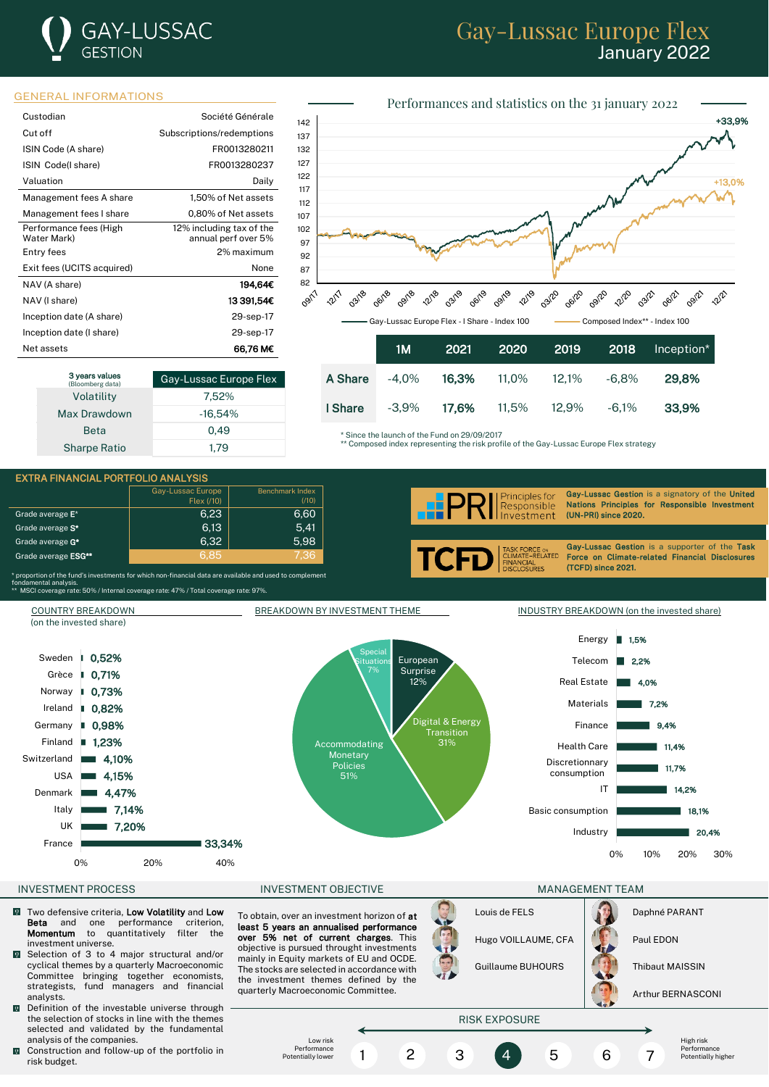## **GAY-LUSSAC GESTION**

## Gay-Lussac Europe Flex January 2022



| Custodian                             | Société Générale                                |
|---------------------------------------|-------------------------------------------------|
| Cut off                               | Subscriptions/redemptions                       |
| ISIN Code (A share)                   | FR0013280211                                    |
| ISIN Code(I share)                    | FR0013280237                                    |
| Valuation                             | Daily                                           |
| Management fees A share               | 1,50% of Net assets                             |
| Management fees I share               | 0,80% of Net assets                             |
| Performance fees (High<br>Water Mark) | 12% including tax of the<br>annual perf over 5% |
| Entry fees                            | 2% maximum                                      |
| Exit fees (UCITS acquired)            | <b>None</b>                                     |
| NAV (A share)                         | 194.64€                                         |
| NAV (I share)                         | 13 391.54€                                      |
| Inception date (A share)              | 29-sep-17                                       |
| Inception date (I share)              | 29-sep-17                                       |
| Net assets                            | 66.76 M€                                        |

| 3 years values<br>(Bloomberg data) | Gay-Lussac Europe Flex |  |  |
|------------------------------------|------------------------|--|--|
| Volatility                         | 7.52%                  |  |  |
| Max Drawdown                       | $-16.54%$              |  |  |
| <b>Beta</b>                        | 0.49                   |  |  |
| <b>Sharpe Ratio</b>                | 1.79                   |  |  |



Since the launch of the Fund on 29/09/2017

\*\* Composed index representing the risk profile of the Gay-Lussac Europe Flex strategy

I Share -3,9% 17,6% 11,5% 12,9% -6,1% 33,9%



33,34% 7,20% 7,14% 4,47% France UK Italy Denmark

0% 20% 40%

INVESTMENT PROCESS FOR THE RESERVE INVESTMENT OBJECTIVE THE MANAGEMENT TEAM MANAGEMENT TEAM

- Two defensive criteria, Low Volatility and Low<br> **Beta** and one performance criterion,  $\sqrt{2}$ **Beta** and one performance crite<br>**Momentum** to quantitatively filter Momentum to quantitatively filter the investment universe.
- **Exercise 3 to 4 major structural and/or** cyclical themes by a quarterly Macroeconomic Committee bringing together economists, strategists, fund managers and financial analysts.
- Definition of the investable universe through the selection of stocks in line with the themes selected and validated by the fundamental analysis of the companies.
- $\mathbf{Q}$ Construction and follow-up of the portfolio in risk budget.

To obtain, over an investment horizon of at least 5 years an annualised performance over 5% net of current charges. This objective is pursued throught investments mainly in Equity markets of EU and OCDE. The stocks are selected in accordance with the investment themes defined by the quarterly Macroeconomic Committee.



Industry

Basic consumption



Arthur BERNASCONI

0% 10% 20% 30%

20,4% 18,1%